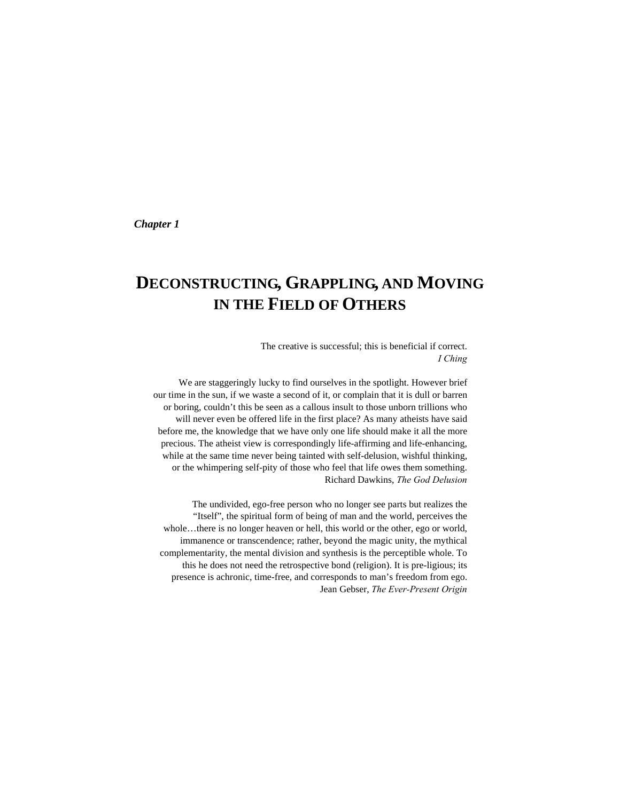*Chapter 1* 

# **DECONSTRUCTING, GRAPPLING, AND MOVING IN THE FIELD OF OTHERS**

The creative is successful; this is beneficial if correct. *I Ching* 

We are staggeringly lucky to find ourselves in the spotlight. However brief our time in the sun, if we waste a second of it, or complain that it is dull or barren or boring, couldn't this be seen as a callous insult to those unborn trillions who will never even be offered life in the first place? As many atheists have said before me, the knowledge that we have only one life should make it all the more precious. The atheist view is correspondingly life-affirming and life-enhancing, while at the same time never being tainted with self-delusion, wishful thinking, or the whimpering self-pity of those who feel that life owes them something. Richard Dawkins, *The God Delusion* 

The undivided, ego-free person who no longer see parts but realizes the "Itself", the spiritual form of being of man and the world, perceives the whole...there is no longer heaven or hell, this world or the other, ego or world, immanence or transcendence; rather, beyond the magic unity, the mythical complementarity, the mental division and synthesis is the perceptible whole. To this he does not need the retrospective bond (religion). It is pre-ligious; its presence is achronic, time-free, and corresponds to man's freedom from ego. Jean Gebser, *The Ever-Present Origin*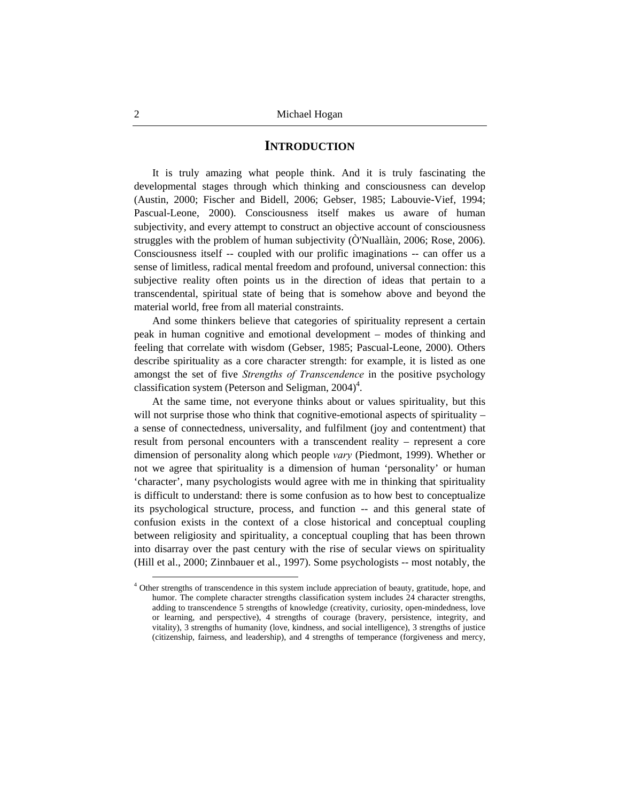#### **INTRODUCTION**

It is truly amazing what people think. And it is truly fascinating the developmental stages through which thinking and consciousness can develop (Austin, 2000; Fischer and Bidell, 2006; Gebser, 1985; Labouvie-Vief, 1994; Pascual-Leone, 2000). Consciousness itself makes us aware of human subjectivity, and every attempt to construct an objective account of consciousness struggles with the problem of human subjectivity (Ò'Nuallàin, 2006; Rose, 2006). Consciousness itself -- coupled with our prolific imaginations -- can offer us a sense of limitless, radical mental freedom and profound, universal connection: this subjective reality often points us in the direction of ideas that pertain to a transcendental, spiritual state of being that is somehow above and beyond the material world, free from all material constraints.

And some thinkers believe that categories of spirituality represent a certain peak in human cognitive and emotional development – modes of thinking and feeling that correlate with wisdom (Gebser, 1985; Pascual-Leone, 2000). Others describe spirituality as a core character strength: for example, it is listed as one amongst the set of five *Strengths of Transcendence* in the positive psychology classification system (Peterson and Seligman,  $2004$ )<sup>4</sup>.

At the same time, not everyone thinks about or values spirituality, but this will not surprise those who think that cognitive-emotional aspects of spirituality – a sense of connectedness, universality, and fulfilment (joy and contentment) that result from personal encounters with a transcendent reality – represent a core dimension of personality along which people *vary* (Piedmont, 1999). Whether or not we agree that spirituality is a dimension of human 'personality' or human 'character', many psychologists would agree with me in thinking that spirituality is difficult to understand: there is some confusion as to how best to conceptualize its psychological structure, process, and function -- and this general state of confusion exists in the context of a close historical and conceptual coupling between religiosity and spirituality, a conceptual coupling that has been thrown into disarray over the past century with the rise of secular views on spirituality (Hill et al., 2000; Zinnbauer et al., 1997). Some psychologists -- most notably, the

 <sup>4</sup> Other strengths of transcendence in this system include appreciation of beauty, gratitude, hope, and humor. The complete character strengths classification system includes 24 character strengths, adding to transcendence 5 strengths of knowledge (creativity, curiosity, open-mindedness, love or learning, and perspective), 4 strengths of courage (bravery, persistence, integrity, and vitality), 3 strengths of humanity (love, kindness, and social intelligence), 3 strengths of justice (citizenship, fairness, and leadership), and 4 strengths of temperance (forgiveness and mercy,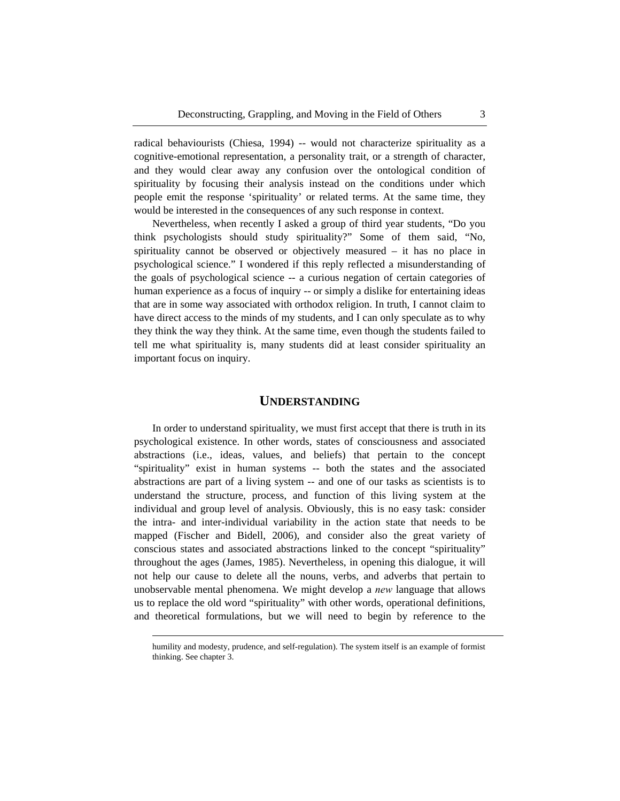radical behaviourists (Chiesa, 1994) -- would not characterize spirituality as a cognitive-emotional representation, a personality trait, or a strength of character, and they would clear away any confusion over the ontological condition of spirituality by focusing their analysis instead on the conditions under which people emit the response 'spirituality' or related terms. At the same time, they would be interested in the consequences of any such response in context.

Nevertheless, when recently I asked a group of third year students, "Do you think psychologists should study spirituality?" Some of them said, "No, spirituality cannot be observed or objectively measured – it has no place in psychological science." I wondered if this reply reflected a misunderstanding of the goals of psychological science -- a curious negation of certain categories of human experience as a focus of inquiry -- or simply a dislike for entertaining ideas that are in some way associated with orthodox religion. In truth, I cannot claim to have direct access to the minds of my students, and I can only speculate as to why they think the way they think. At the same time, even though the students failed to tell me what spirituality is, many students did at least consider spirituality an important focus on inquiry.

#### **UNDERSTANDING**

In order to understand spirituality, we must first accept that there is truth in its psychological existence. In other words, states of consciousness and associated abstractions (i.e., ideas, values, and beliefs) that pertain to the concept "spirituality" exist in human systems -- both the states and the associated abstractions are part of a living system -- and one of our tasks as scientists is to understand the structure, process, and function of this living system at the individual and group level of analysis. Obviously, this is no easy task: consider the intra- and inter-individual variability in the action state that needs to be mapped (Fischer and Bidell, 2006), and consider also the great variety of conscious states and associated abstractions linked to the concept "spirituality" throughout the ages (James, 1985). Nevertheless, in opening this dialogue, it will not help our cause to delete all the nouns, verbs, and adverbs that pertain to unobservable mental phenomena. We might develop a *new* language that allows us to replace the old word "spirituality" with other words, operational definitions, and theoretical formulations, but we will need to begin by reference to the

 $\overline{a}$ 

humility and modesty, prudence, and self-regulation). The system itself is an example of formist thinking. See chapter 3.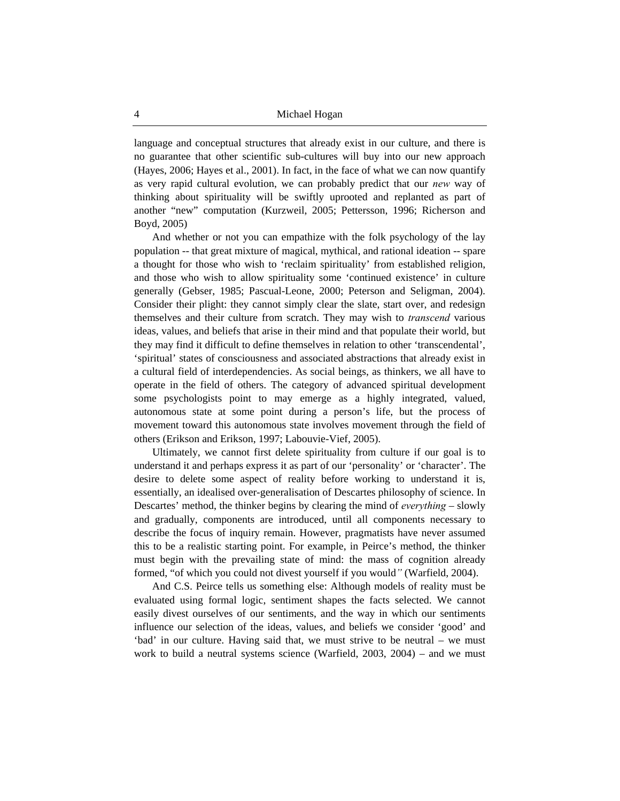language and conceptual structures that already exist in our culture, and there is no guarantee that other scientific sub-cultures will buy into our new approach (Hayes, 2006; Hayes et al., 2001). In fact, in the face of what we can now quantify as very rapid cultural evolution, we can probably predict that our *new* way of thinking about spirituality will be swiftly uprooted and replanted as part of another "new" computation (Kurzweil, 2005; Pettersson, 1996; Richerson and Boyd, 2005)

And whether or not you can empathize with the folk psychology of the lay population -- that great mixture of magical, mythical, and rational ideation -- spare a thought for those who wish to 'reclaim spirituality' from established religion, and those who wish to allow spirituality some 'continued existence' in culture generally (Gebser, 1985; Pascual-Leone, 2000; Peterson and Seligman, 2004). Consider their plight: they cannot simply clear the slate, start over, and redesign themselves and their culture from scratch. They may wish to *transcend* various ideas, values, and beliefs that arise in their mind and that populate their world, but they may find it difficult to define themselves in relation to other 'transcendental', 'spiritual' states of consciousness and associated abstractions that already exist in a cultural field of interdependencies. As social beings, as thinkers, we all have to operate in the field of others. The category of advanced spiritual development some psychologists point to may emerge as a highly integrated, valued, autonomous state at some point during a person's life, but the process of movement toward this autonomous state involves movement through the field of others (Erikson and Erikson, 1997; Labouvie-Vief, 2005).

Ultimately, we cannot first delete spirituality from culture if our goal is to understand it and perhaps express it as part of our 'personality' or 'character'. The desire to delete some aspect of reality before working to understand it is, essentially, an idealised over-generalisation of Descartes philosophy of science. In Descartes' method, the thinker begins by clearing the mind of *everything* – slowly and gradually, components are introduced, until all components necessary to describe the focus of inquiry remain. However, pragmatists have never assumed this to be a realistic starting point. For example, in Peirce's method, the thinker must begin with the prevailing state of mind: the mass of cognition already formed, "of which you could not divest yourself if you would*"* (Warfield, 2004).

And C.S. Peirce tells us something else: Although models of reality must be evaluated using formal logic, sentiment shapes the facts selected. We cannot easily divest ourselves of our sentiments, and the way in which our sentiments influence our selection of the ideas, values, and beliefs we consider 'good' and 'bad' in our culture. Having said that, we must strive to be neutral – we must work to build a neutral systems science (Warfield, 2003, 2004) – and we must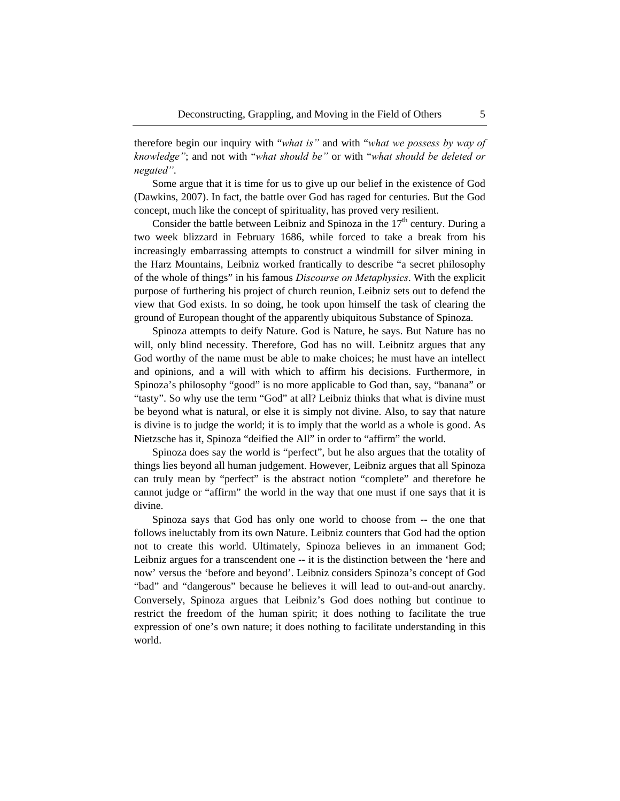therefore begin our inquiry with "*what is"* and with "*what we possess by way of knowledge"*; and not with "*what should be"* or with "*what should be deleted or negated"*.

Some argue that it is time for us to give up our belief in the existence of God (Dawkins, 2007). In fact, the battle over God has raged for centuries. But the God concept, much like the concept of spirituality, has proved very resilient.

Consider the battle between Leibniz and Spinoza in the  $17<sup>th</sup>$  century. During a two week blizzard in February 1686, while forced to take a break from his increasingly embarrassing attempts to construct a windmill for silver mining in the Harz Mountains, Leibniz worked frantically to describe "a secret philosophy of the whole of things" in his famous *Discourse on Metaphysics*. With the explicit purpose of furthering his project of church reunion, Leibniz sets out to defend the view that God exists. In so doing, he took upon himself the task of clearing the ground of European thought of the apparently ubiquitous Substance of Spinoza.

Spinoza attempts to deify Nature. God is Nature, he says. But Nature has no will, only blind necessity. Therefore, God has no will. Leibnitz argues that any God worthy of the name must be able to make choices; he must have an intellect and opinions, and a will with which to affirm his decisions. Furthermore, in Spinoza's philosophy "good" is no more applicable to God than, say, "banana" or "tasty". So why use the term "God" at all? Leibniz thinks that what is divine must be beyond what is natural, or else it is simply not divine. Also, to say that nature is divine is to judge the world; it is to imply that the world as a whole is good. As Nietzsche has it, Spinoza "deified the All" in order to "affirm" the world.

Spinoza does say the world is "perfect", but he also argues that the totality of things lies beyond all human judgement. However, Leibniz argues that all Spinoza can truly mean by "perfect" is the abstract notion "complete" and therefore he cannot judge or "affirm" the world in the way that one must if one says that it is divine.

Spinoza says that God has only one world to choose from -- the one that follows ineluctably from its own Nature. Leibniz counters that God had the option not to create this world. Ultimately, Spinoza believes in an immanent God; Leibniz argues for a transcendent one -- it is the distinction between the 'here and now' versus the 'before and beyond'. Leibniz considers Spinoza's concept of God "bad" and "dangerous" because he believes it will lead to out-and-out anarchy. Conversely, Spinoza argues that Leibniz's God does nothing but continue to restrict the freedom of the human spirit; it does nothing to facilitate the true expression of one's own nature; it does nothing to facilitate understanding in this world.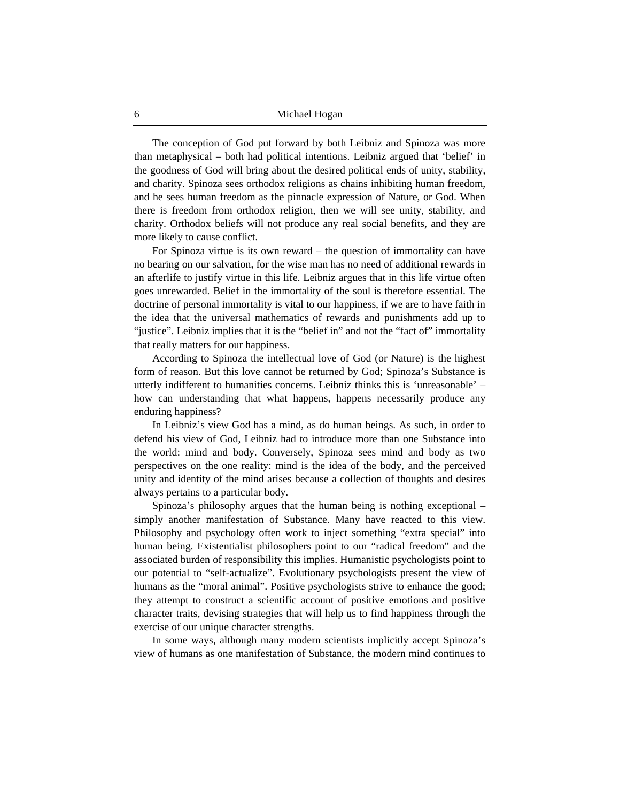The conception of God put forward by both Leibniz and Spinoza was more than metaphysical – both had political intentions. Leibniz argued that 'belief' in the goodness of God will bring about the desired political ends of unity, stability, and charity. Spinoza sees orthodox religions as chains inhibiting human freedom, and he sees human freedom as the pinnacle expression of Nature, or God. When there is freedom from orthodox religion, then we will see unity, stability, and charity. Orthodox beliefs will not produce any real social benefits, and they are more likely to cause conflict.

For Spinoza virtue is its own reward – the question of immortality can have no bearing on our salvation, for the wise man has no need of additional rewards in an afterlife to justify virtue in this life. Leibniz argues that in this life virtue often goes unrewarded. Belief in the immortality of the soul is therefore essential. The doctrine of personal immortality is vital to our happiness, if we are to have faith in the idea that the universal mathematics of rewards and punishments add up to "justice". Leibniz implies that it is the "belief in" and not the "fact of" immortality that really matters for our happiness.

According to Spinoza the intellectual love of God (or Nature) is the highest form of reason. But this love cannot be returned by God; Spinoza's Substance is utterly indifferent to humanities concerns. Leibniz thinks this is 'unreasonable' – how can understanding that what happens, happens necessarily produce any enduring happiness?

In Leibniz's view God has a mind, as do human beings. As such, in order to defend his view of God, Leibniz had to introduce more than one Substance into the world: mind and body. Conversely, Spinoza sees mind and body as two perspectives on the one reality: mind is the idea of the body, and the perceived unity and identity of the mind arises because a collection of thoughts and desires always pertains to a particular body.

Spinoza's philosophy argues that the human being is nothing exceptional – simply another manifestation of Substance. Many have reacted to this view. Philosophy and psychology often work to inject something "extra special" into human being. Existentialist philosophers point to our "radical freedom" and the associated burden of responsibility this implies. Humanistic psychologists point to our potential to "self-actualize". Evolutionary psychologists present the view of humans as the "moral animal". Positive psychologists strive to enhance the good; they attempt to construct a scientific account of positive emotions and positive character traits, devising strategies that will help us to find happiness through the exercise of our unique character strengths.

In some ways, although many modern scientists implicitly accept Spinoza's view of humans as one manifestation of Substance, the modern mind continues to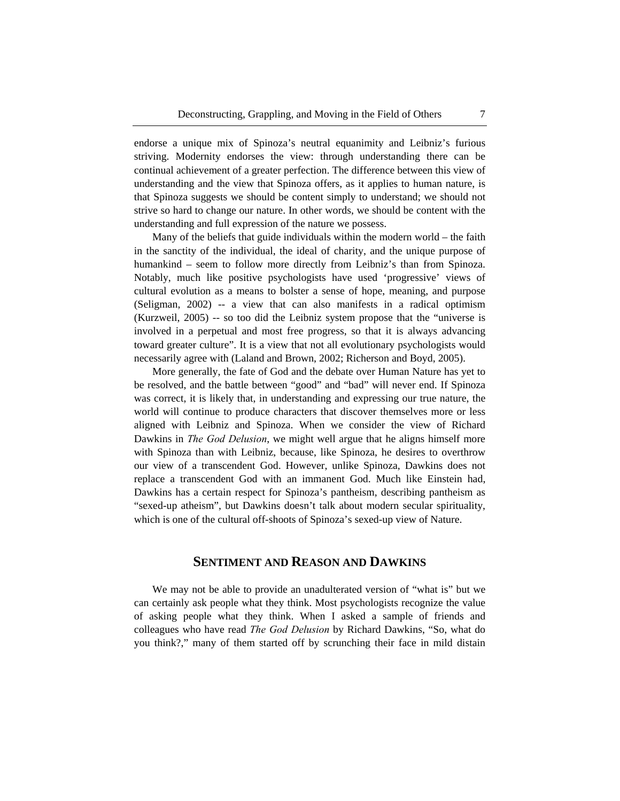endorse a unique mix of Spinoza's neutral equanimity and Leibniz's furious striving. Modernity endorses the view: through understanding there can be continual achievement of a greater perfection. The difference between this view of understanding and the view that Spinoza offers, as it applies to human nature, is that Spinoza suggests we should be content simply to understand; we should not strive so hard to change our nature. In other words, we should be content with the understanding and full expression of the nature we possess.

Many of the beliefs that guide individuals within the modern world – the faith in the sanctity of the individual, the ideal of charity, and the unique purpose of humankind – seem to follow more directly from Leibniz's than from Spinoza. Notably, much like positive psychologists have used 'progressive' views of cultural evolution as a means to bolster a sense of hope, meaning, and purpose (Seligman, 2002) -- a view that can also manifests in a radical optimism (Kurzweil, 2005) -- so too did the Leibniz system propose that the "universe is involved in a perpetual and most free progress, so that it is always advancing toward greater culture". It is a view that not all evolutionary psychologists would necessarily agree with (Laland and Brown, 2002; Richerson and Boyd, 2005).

More generally, the fate of God and the debate over Human Nature has yet to be resolved, and the battle between "good" and "bad" will never end. If Spinoza was correct, it is likely that, in understanding and expressing our true nature, the world will continue to produce characters that discover themselves more or less aligned with Leibniz and Spinoza. When we consider the view of Richard Dawkins in *The God Delusion*, we might well argue that he aligns himself more with Spinoza than with Leibniz, because, like Spinoza, he desires to overthrow our view of a transcendent God. However, unlike Spinoza, Dawkins does not replace a transcendent God with an immanent God. Much like Einstein had, Dawkins has a certain respect for Spinoza's pantheism, describing pantheism as "sexed-up atheism", but Dawkins doesn't talk about modern secular spirituality, which is one of the cultural off-shoots of Spinoza's sexed-up view of Nature.

## **SENTIMENT AND REASON AND DAWKINS**

We may not be able to provide an unadulterated version of "what is" but we can certainly ask people what they think. Most psychologists recognize the value of asking people what they think. When I asked a sample of friends and colleagues who have read *The God Delusion* by Richard Dawkins, "So, what do you think?," many of them started off by scrunching their face in mild distain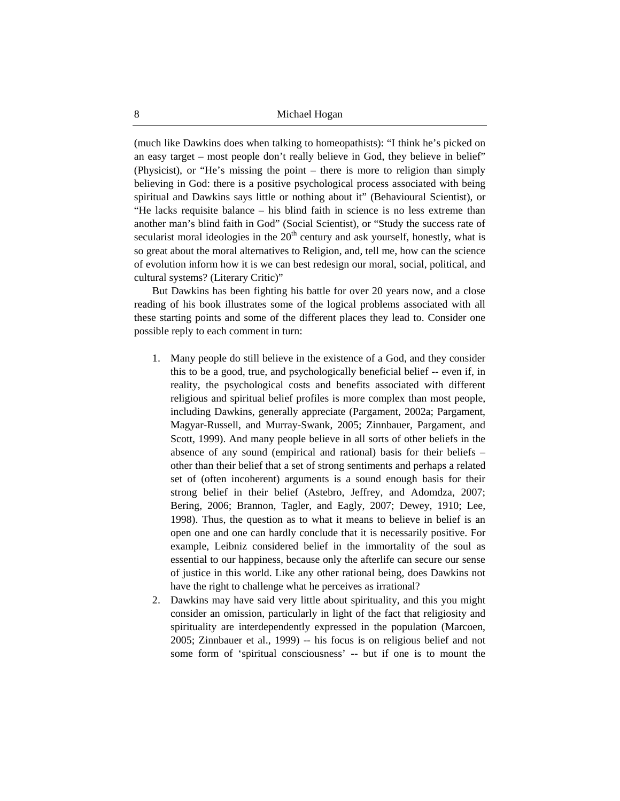(much like Dawkins does when talking to homeopathists): "I think he's picked on an easy target – most people don't really believe in God, they believe in belief" (Physicist), or "He's missing the point – there is more to religion than simply believing in God: there is a positive psychological process associated with being spiritual and Dawkins says little or nothing about it" (Behavioural Scientist), or "He lacks requisite balance – his blind faith in science is no less extreme than another man's blind faith in God" (Social Scientist), or "Study the success rate of secularist moral ideologies in the  $20<sup>th</sup>$  century and ask yourself, honestly, what is so great about the moral alternatives to Religion, and, tell me, how can the science of evolution inform how it is we can best redesign our moral, social, political, and cultural systems? (Literary Critic)"

But Dawkins has been fighting his battle for over 20 years now, and a close reading of his book illustrates some of the logical problems associated with all these starting points and some of the different places they lead to. Consider one possible reply to each comment in turn:

- 1. Many people do still believe in the existence of a God, and they consider this to be a good, true, and psychologically beneficial belief -- even if, in reality, the psychological costs and benefits associated with different religious and spiritual belief profiles is more complex than most people, including Dawkins, generally appreciate (Pargament, 2002a; Pargament, Magyar-Russell, and Murray-Swank, 2005; Zinnbauer, Pargament, and Scott, 1999). And many people believe in all sorts of other beliefs in the absence of any sound (empirical and rational) basis for their beliefs – other than their belief that a set of strong sentiments and perhaps a related set of (often incoherent) arguments is a sound enough basis for their strong belief in their belief (Astebro, Jeffrey, and Adomdza, 2007; Bering, 2006; Brannon, Tagler, and Eagly, 2007; Dewey, 1910; Lee, 1998). Thus, the question as to what it means to believe in belief is an open one and one can hardly conclude that it is necessarily positive. For example, Leibniz considered belief in the immortality of the soul as essential to our happiness, because only the afterlife can secure our sense of justice in this world. Like any other rational being, does Dawkins not have the right to challenge what he perceives as irrational?
- 2. Dawkins may have said very little about spirituality, and this you might consider an omission, particularly in light of the fact that religiosity and spirituality are interdependently expressed in the population (Marcoen, 2005; Zinnbauer et al., 1999) -- his focus is on religious belief and not some form of 'spiritual consciousness' -- but if one is to mount the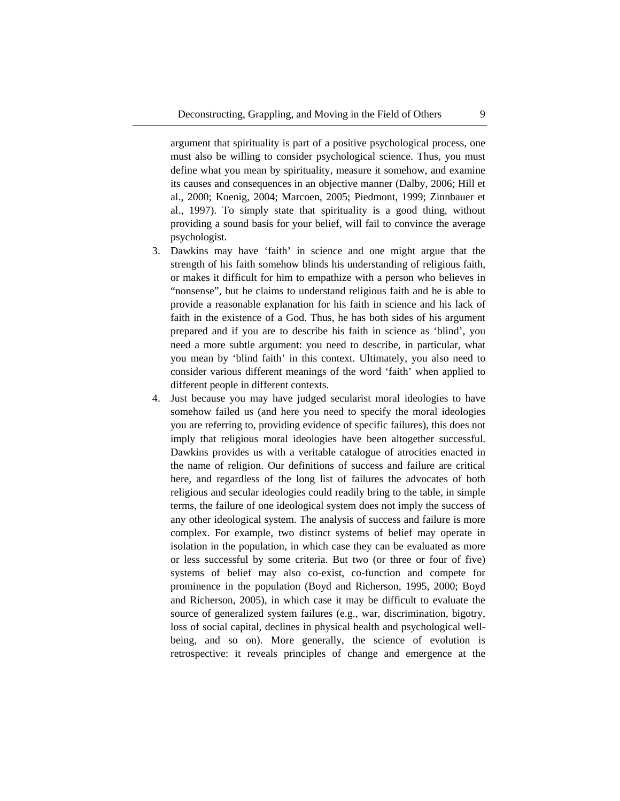argument that spirituality is part of a positive psychological process, one must also be willing to consider psychological science. Thus, you must define what you mean by spirituality, measure it somehow, and examine its causes and consequences in an objective manner (Dalby, 2006; Hill et al., 2000; Koenig, 2004; Marcoen, 2005; Piedmont, 1999; Zinnbauer et al., 1997). To simply state that spirituality is a good thing, without providing a sound basis for your belief, will fail to convince the average psychologist.

- 3. Dawkins may have 'faith' in science and one might argue that the strength of his faith somehow blinds his understanding of religious faith, or makes it difficult for him to empathize with a person who believes in "nonsense", but he claims to understand religious faith and he is able to provide a reasonable explanation for his faith in science and his lack of faith in the existence of a God. Thus, he has both sides of his argument prepared and if you are to describe his faith in science as 'blind', you need a more subtle argument: you need to describe, in particular, what you mean by 'blind faith' in this context. Ultimately, you also need to consider various different meanings of the word 'faith' when applied to different people in different contexts.
- 4. Just because you may have judged secularist moral ideologies to have somehow failed us (and here you need to specify the moral ideologies you are referring to, providing evidence of specific failures), this does not imply that religious moral ideologies have been altogether successful. Dawkins provides us with a veritable catalogue of atrocities enacted in the name of religion. Our definitions of success and failure are critical here, and regardless of the long list of failures the advocates of both religious and secular ideologies could readily bring to the table, in simple terms, the failure of one ideological system does not imply the success of any other ideological system. The analysis of success and failure is more complex. For example, two distinct systems of belief may operate in isolation in the population, in which case they can be evaluated as more or less successful by some criteria. But two (or three or four of five) systems of belief may also co-exist, co-function and compete for prominence in the population (Boyd and Richerson, 1995, 2000; Boyd and Richerson, 2005), in which case it may be difficult to evaluate the source of generalized system failures (e.g., war, discrimination, bigotry, loss of social capital, declines in physical health and psychological wellbeing, and so on). More generally, the science of evolution is retrospective: it reveals principles of change and emergence at the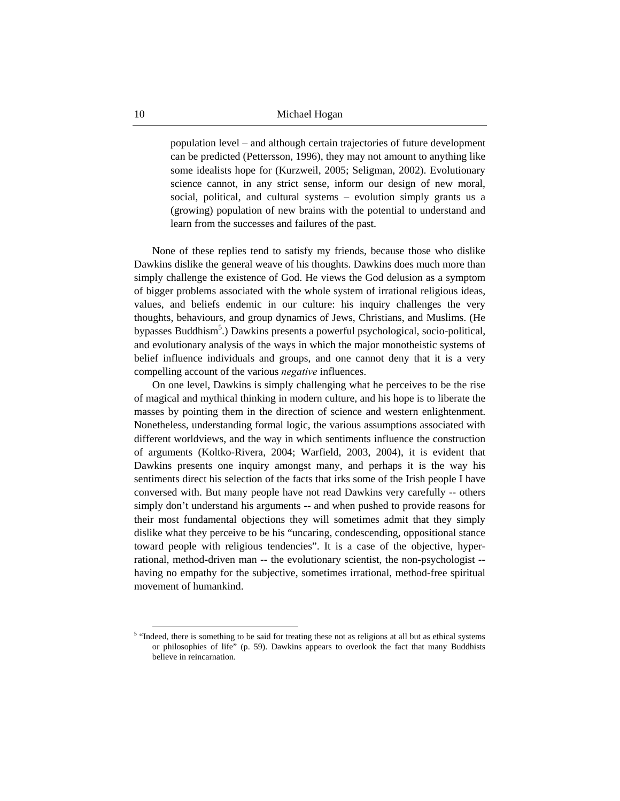population level – and although certain trajectories of future development can be predicted (Pettersson, 1996), they may not amount to anything like some idealists hope for (Kurzweil, 2005; Seligman, 2002). Evolutionary science cannot, in any strict sense, inform our design of new moral, social, political, and cultural systems – evolution simply grants us a (growing) population of new brains with the potential to understand and learn from the successes and failures of the past.

None of these replies tend to satisfy my friends, because those who dislike Dawkins dislike the general weave of his thoughts. Dawkins does much more than simply challenge the existence of God. He views the God delusion as a symptom of bigger problems associated with the whole system of irrational religious ideas, values, and beliefs endemic in our culture: his inquiry challenges the very thoughts, behaviours, and group dynamics of Jews, Christians, and Muslims. (He bypasses Buddhism<sup>5</sup>.) Dawkins presents a powerful psychological, socio-political, and evolutionary analysis of the ways in which the major monotheistic systems of belief influence individuals and groups, and one cannot deny that it is a very compelling account of the various *negative* influences.

On one level, Dawkins is simply challenging what he perceives to be the rise of magical and mythical thinking in modern culture, and his hope is to liberate the masses by pointing them in the direction of science and western enlightenment. Nonetheless, understanding formal logic, the various assumptions associated with different worldviews, and the way in which sentiments influence the construction of arguments (Koltko-Rivera, 2004; Warfield, 2003, 2004), it is evident that Dawkins presents one inquiry amongst many, and perhaps it is the way his sentiments direct his selection of the facts that irks some of the Irish people I have conversed with. But many people have not read Dawkins very carefully -- others simply don't understand his arguments -- and when pushed to provide reasons for their most fundamental objections they will sometimes admit that they simply dislike what they perceive to be his "uncaring, condescending, oppositional stance toward people with religious tendencies". It is a case of the objective, hyperrational, method-driven man -- the evolutionary scientist, the non-psychologist - having no empathy for the subjective, sometimes irrational, method-free spiritual movement of humankind.

<sup>&</sup>lt;sup>5</sup> "Indeed, there is something to be said for treating these not as religions at all but as ethical systems or philosophies of life" (p. 59). Dawkins appears to overlook the fact that many Buddhists believe in reincarnation.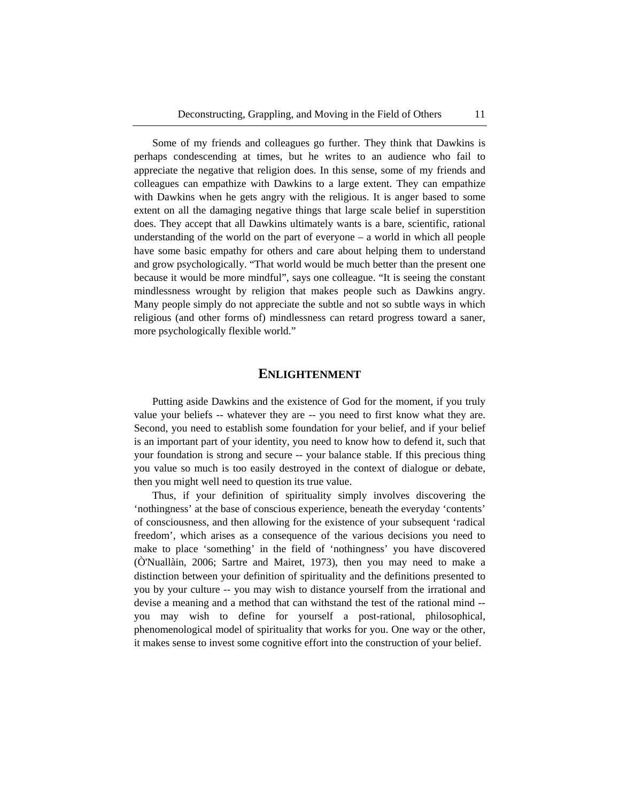Some of my friends and colleagues go further. They think that Dawkins is perhaps condescending at times, but he writes to an audience who fail to appreciate the negative that religion does. In this sense, some of my friends and colleagues can empathize with Dawkins to a large extent. They can empathize with Dawkins when he gets angry with the religious. It is anger based to some extent on all the damaging negative things that large scale belief in superstition does. They accept that all Dawkins ultimately wants is a bare, scientific, rational understanding of the world on the part of everyone – a world in which all people have some basic empathy for others and care about helping them to understand and grow psychologically. "That world would be much better than the present one because it would be more mindful", says one colleague. "It is seeing the constant mindlessness wrought by religion that makes people such as Dawkins angry. Many people simply do not appreciate the subtle and not so subtle ways in which religious (and other forms of) mindlessness can retard progress toward a saner, more psychologically flexible world."

#### **ENLIGHTENMENT**

Putting aside Dawkins and the existence of God for the moment, if you truly value your beliefs -- whatever they are -- you need to first know what they are. Second, you need to establish some foundation for your belief, and if your belief is an important part of your identity, you need to know how to defend it, such that your foundation is strong and secure -- your balance stable. If this precious thing you value so much is too easily destroyed in the context of dialogue or debate, then you might well need to question its true value.

Thus, if your definition of spirituality simply involves discovering the 'nothingness' at the base of conscious experience, beneath the everyday 'contents' of consciousness, and then allowing for the existence of your subsequent 'radical freedom', which arises as a consequence of the various decisions you need to make to place 'something' in the field of 'nothingness' you have discovered (Ò'Nuallàin, 2006; Sartre and Mairet, 1973), then you may need to make a distinction between your definition of spirituality and the definitions presented to you by your culture -- you may wish to distance yourself from the irrational and devise a meaning and a method that can withstand the test of the rational mind - you may wish to define for yourself a post-rational, philosophical, phenomenological model of spirituality that works for you. One way or the other, it makes sense to invest some cognitive effort into the construction of your belief.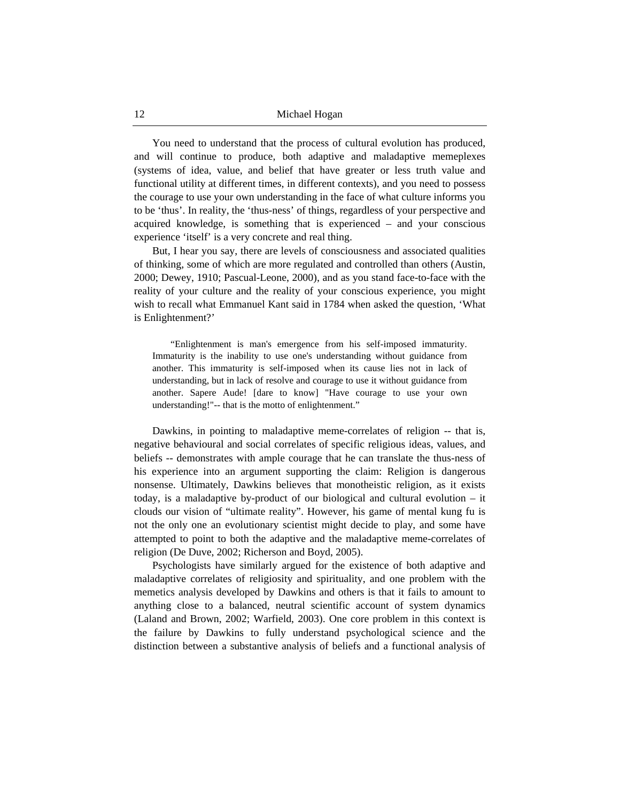You need to understand that the process of cultural evolution has produced, and will continue to produce, both adaptive and maladaptive memeplexes (systems of idea, value, and belief that have greater or less truth value and functional utility at different times, in different contexts), and you need to possess the courage to use your own understanding in the face of what culture informs you to be 'thus'. In reality, the 'thus-ness' of things, regardless of your perspective and acquired knowledge, is something that is experienced – and your conscious experience 'itself' is a very concrete and real thing.

But, I hear you say, there are levels of consciousness and associated qualities of thinking, some of which are more regulated and controlled than others (Austin, 2000; Dewey, 1910; Pascual-Leone, 2000), and as you stand face-to-face with the reality of your culture and the reality of your conscious experience, you might wish to recall what Emmanuel Kant said in 1784 when asked the question, 'What is Enlightenment?'

"Enlightenment is man's emergence from his self-imposed immaturity. Immaturity is the inability to use one's understanding without guidance from another. This immaturity is self-imposed when its cause lies not in lack of understanding, but in lack of resolve and courage to use it without guidance from another. Sapere Aude! [dare to know] "Have courage to use your own understanding!"-- that is the motto of enlightenment."

Dawkins, in pointing to maladaptive meme-correlates of religion -- that is, negative behavioural and social correlates of specific religious ideas, values, and beliefs -- demonstrates with ample courage that he can translate the thus-ness of his experience into an argument supporting the claim: Religion is dangerous nonsense. Ultimately, Dawkins believes that monotheistic religion, as it exists today, is a maladaptive by-product of our biological and cultural evolution – it clouds our vision of "ultimate reality". However, his game of mental kung fu is not the only one an evolutionary scientist might decide to play, and some have attempted to point to both the adaptive and the maladaptive meme-correlates of religion (De Duve, 2002; Richerson and Boyd, 2005).

Psychologists have similarly argued for the existence of both adaptive and maladaptive correlates of religiosity and spirituality, and one problem with the memetics analysis developed by Dawkins and others is that it fails to amount to anything close to a balanced, neutral scientific account of system dynamics (Laland and Brown, 2002; Warfield, 2003). One core problem in this context is the failure by Dawkins to fully understand psychological science and the distinction between a substantive analysis of beliefs and a functional analysis of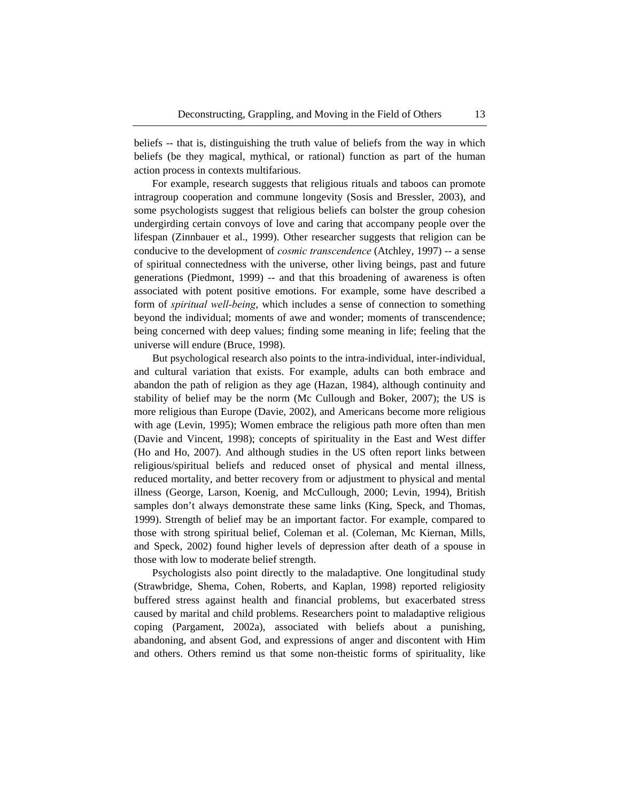beliefs -- that is, distinguishing the truth value of beliefs from the way in which beliefs (be they magical, mythical, or rational) function as part of the human action process in contexts multifarious.

For example, research suggests that religious rituals and taboos can promote intragroup cooperation and commune longevity (Sosis and Bressler, 2003), and some psychologists suggest that religious beliefs can bolster the group cohesion undergirding certain convoys of love and caring that accompany people over the lifespan (Zinnbauer et al., 1999). Other researcher suggests that religion can be conducive to the development of *cosmic transcendence* (Atchley, 1997) -- a sense of spiritual connectedness with the universe, other living beings, past and future generations (Piedmont, 1999) -- and that this broadening of awareness is often associated with potent positive emotions. For example, some have described a form of *spiritual well-being*, which includes a sense of connection to something beyond the individual; moments of awe and wonder; moments of transcendence; being concerned with deep values; finding some meaning in life; feeling that the universe will endure (Bruce, 1998).

But psychological research also points to the intra-individual, inter-individual, and cultural variation that exists. For example, adults can both embrace and abandon the path of religion as they age (Hazan, 1984), although continuity and stability of belief may be the norm (Mc Cullough and Boker, 2007); the US is more religious than Europe (Davie, 2002), and Americans become more religious with age (Levin, 1995); Women embrace the religious path more often than men (Davie and Vincent, 1998); concepts of spirituality in the East and West differ (Ho and Ho, 2007). And although studies in the US often report links between religious/spiritual beliefs and reduced onset of physical and mental illness, reduced mortality, and better recovery from or adjustment to physical and mental illness (George, Larson, Koenig, and McCullough, 2000; Levin, 1994), British samples don't always demonstrate these same links (King, Speck, and Thomas, 1999). Strength of belief may be an important factor. For example, compared to those with strong spiritual belief, Coleman et al. (Coleman, Mc Kiernan, Mills, and Speck, 2002) found higher levels of depression after death of a spouse in those with low to moderate belief strength.

Psychologists also point directly to the maladaptive. One longitudinal study (Strawbridge, Shema, Cohen, Roberts, and Kaplan, 1998) reported religiosity buffered stress against health and financial problems, but exacerbated stress caused by marital and child problems. Researchers point to maladaptive religious coping (Pargament, 2002a), associated with beliefs about a punishing, abandoning, and absent God, and expressions of anger and discontent with Him and others. Others remind us that some non-theistic forms of spirituality, like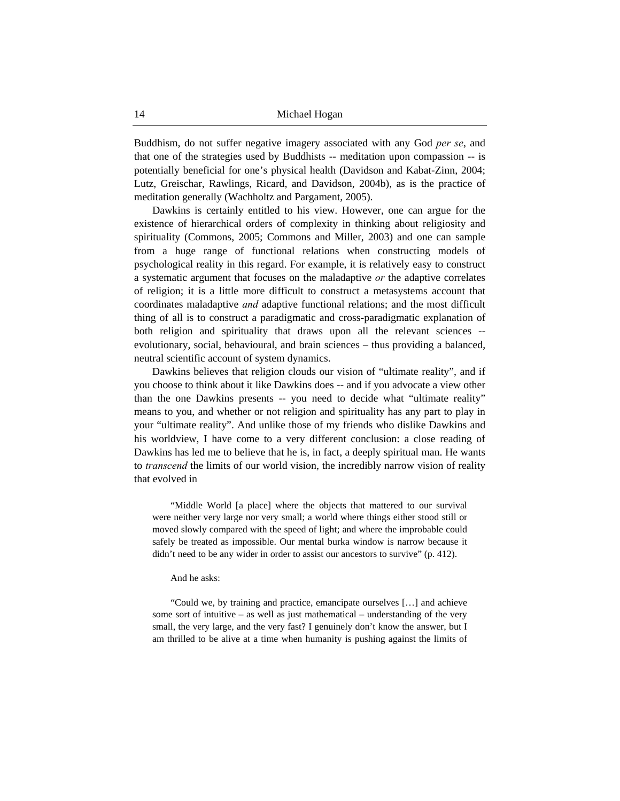Buddhism, do not suffer negative imagery associated with any God *per se*, and that one of the strategies used by Buddhists -- meditation upon compassion -- is potentially beneficial for one's physical health (Davidson and Kabat-Zinn, 2004; Lutz, Greischar, Rawlings, Ricard, and Davidson, 2004b), as is the practice of meditation generally (Wachholtz and Pargament, 2005).

Dawkins is certainly entitled to his view. However, one can argue for the existence of hierarchical orders of complexity in thinking about religiosity and spirituality (Commons, 2005; Commons and Miller, 2003) and one can sample from a huge range of functional relations when constructing models of psychological reality in this regard. For example, it is relatively easy to construct a systematic argument that focuses on the maladaptive *or* the adaptive correlates of religion; it is a little more difficult to construct a metasystems account that coordinates maladaptive *and* adaptive functional relations; and the most difficult thing of all is to construct a paradigmatic and cross-paradigmatic explanation of both religion and spirituality that draws upon all the relevant sciences - evolutionary, social, behavioural, and brain sciences – thus providing a balanced, neutral scientific account of system dynamics.

Dawkins believes that religion clouds our vision of "ultimate reality", and if you choose to think about it like Dawkins does -- and if you advocate a view other than the one Dawkins presents -- you need to decide what "ultimate reality" means to you, and whether or not religion and spirituality has any part to play in your "ultimate reality". And unlike those of my friends who dislike Dawkins and his worldview, I have come to a very different conclusion: a close reading of Dawkins has led me to believe that he is, in fact, a deeply spiritual man. He wants to *transcend* the limits of our world vision, the incredibly narrow vision of reality that evolved in

"Middle World [a place] where the objects that mattered to our survival were neither very large nor very small; a world where things either stood still or moved slowly compared with the speed of light; and where the improbable could safely be treated as impossible. Our mental burka window is narrow because it didn't need to be any wider in order to assist our ancestors to survive" (p. 412).

#### And he asks:

"Could we, by training and practice, emancipate ourselves […] and achieve some sort of intuitive – as well as just mathematical – understanding of the very small, the very large, and the very fast? I genuinely don't know the answer, but I am thrilled to be alive at a time when humanity is pushing against the limits of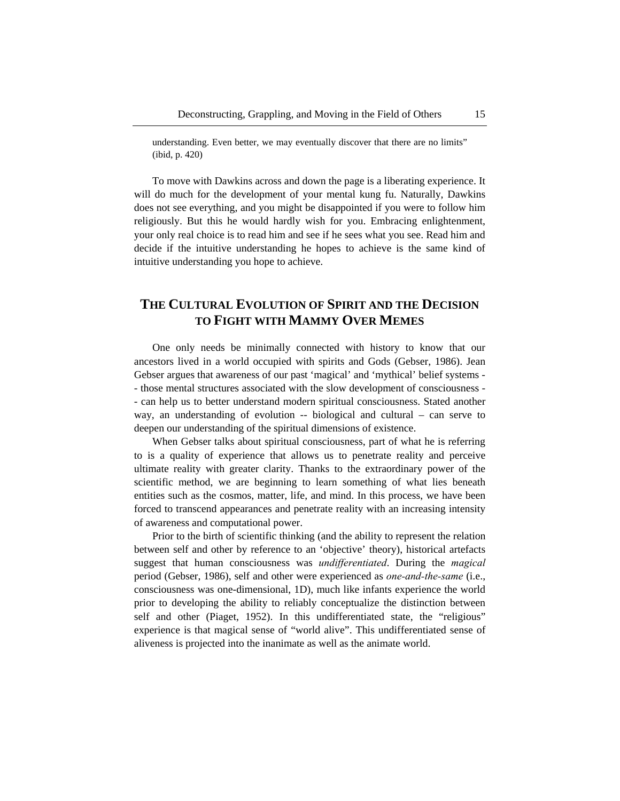understanding. Even better, we may eventually discover that there are no limits" (ibid, p. 420)

To move with Dawkins across and down the page is a liberating experience. It will do much for the development of your mental kung fu. Naturally, Dawkins does not see everything, and you might be disappointed if you were to follow him religiously. But this he would hardly wish for you. Embracing enlightenment, your only real choice is to read him and see if he sees what you see. Read him and decide if the intuitive understanding he hopes to achieve is the same kind of intuitive understanding you hope to achieve.

## **THE CULTURAL EVOLUTION OF SPIRIT AND THE DECISION TO FIGHT WITH MAMMY OVER MEMES**

One only needs be minimally connected with history to know that our ancestors lived in a world occupied with spirits and Gods (Gebser, 1986). Jean Gebser argues that awareness of our past 'magical' and 'mythical' belief systems - - those mental structures associated with the slow development of consciousness - - can help us to better understand modern spiritual consciousness. Stated another way, an understanding of evolution -- biological and cultural – can serve to deepen our understanding of the spiritual dimensions of existence.

When Gebser talks about spiritual consciousness, part of what he is referring to is a quality of experience that allows us to penetrate reality and perceive ultimate reality with greater clarity. Thanks to the extraordinary power of the scientific method, we are beginning to learn something of what lies beneath entities such as the cosmos, matter, life, and mind. In this process, we have been forced to transcend appearances and penetrate reality with an increasing intensity of awareness and computational power.

Prior to the birth of scientific thinking (and the ability to represent the relation between self and other by reference to an 'objective' theory), historical artefacts suggest that human consciousness was *undifferentiated*. During the *magical* period (Gebser, 1986), self and other were experienced as *one-and-the-same* (i.e., consciousness was one-dimensional, 1D), much like infants experience the world prior to developing the ability to reliably conceptualize the distinction between self and other (Piaget, 1952). In this undifferentiated state, the "religious" experience is that magical sense of "world alive". This undifferentiated sense of aliveness is projected into the inanimate as well as the animate world.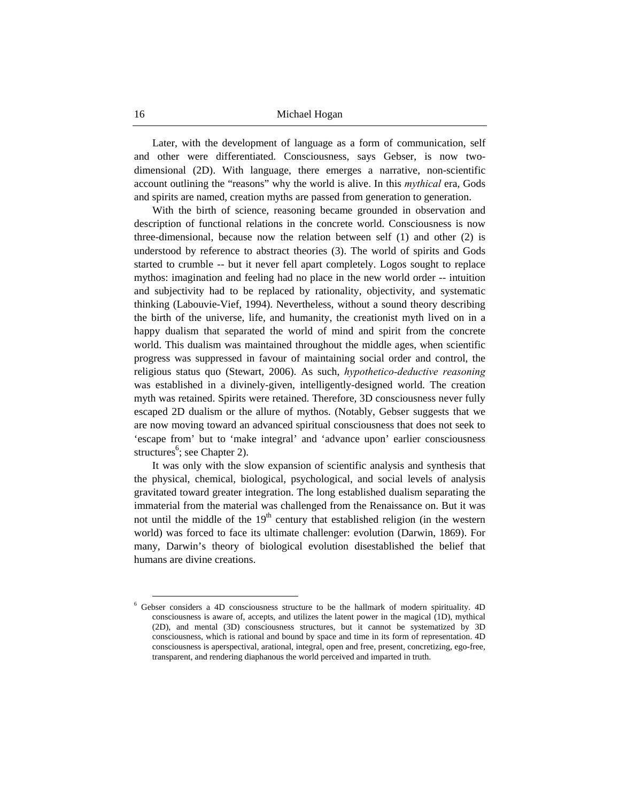Later, with the development of language as a form of communication, self and other were differentiated. Consciousness, says Gebser, is now twodimensional (2D). With language, there emerges a narrative, non-scientific account outlining the "reasons" why the world is alive. In this *mythical* era, Gods and spirits are named, creation myths are passed from generation to generation.

With the birth of science, reasoning became grounded in observation and description of functional relations in the concrete world. Consciousness is now three-dimensional, because now the relation between self (1) and other (2) is understood by reference to abstract theories (3). The world of spirits and Gods started to crumble -- but it never fell apart completely. Logos sought to replace mythos: imagination and feeling had no place in the new world order -- intuition and subjectivity had to be replaced by rationality, objectivity, and systematic thinking (Labouvie-Vief, 1994). Nevertheless, without a sound theory describing the birth of the universe, life, and humanity, the creationist myth lived on in a happy dualism that separated the world of mind and spirit from the concrete world. This dualism was maintained throughout the middle ages, when scientific progress was suppressed in favour of maintaining social order and control, the religious status quo (Stewart, 2006). As such, *hypothetico-deductive reasoning* was established in a divinely-given, intelligently-designed world. The creation myth was retained. Spirits were retained. Therefore, 3D consciousness never fully escaped 2D dualism or the allure of mythos. (Notably, Gebser suggests that we are now moving toward an advanced spiritual consciousness that does not seek to 'escape from' but to 'make integral' and 'advance upon' earlier consciousness structures<sup>6</sup>; see Chapter 2).

It was only with the slow expansion of scientific analysis and synthesis that the physical, chemical, biological, psychological, and social levels of analysis gravitated toward greater integration. The long established dualism separating the immaterial from the material was challenged from the Renaissance on. But it was not until the middle of the  $19<sup>th</sup>$  century that established religion (in the western world) was forced to face its ultimate challenger: evolution (Darwin, 1869). For many, Darwin's theory of biological evolution disestablished the belief that humans are divine creations.

 <sup>6</sup> Gebser considers a 4D consciousness structure to be the hallmark of modern spirituality. 4D consciousness is aware of, accepts, and utilizes the latent power in the magical (1D), mythical (2D), and mental (3D) consciousness structures, but it cannot be systematized by 3D consciousness, which is rational and bound by space and time in its form of representation. 4D consciousness is aperspectival, arational, integral, open and free, present, concretizing, ego-free, transparent, and rendering diaphanous the world perceived and imparted in truth.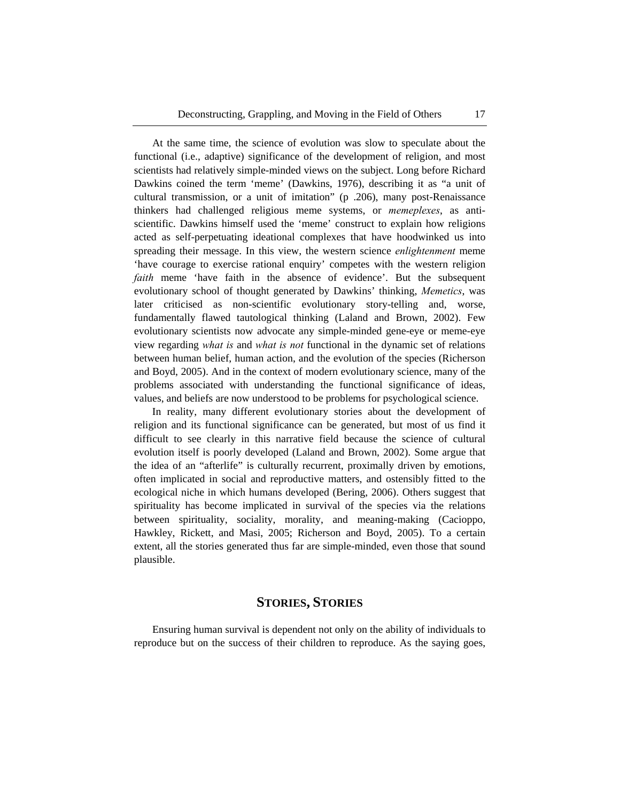At the same time, the science of evolution was slow to speculate about the functional (i.e., adaptive) significance of the development of religion, and most scientists had relatively simple-minded views on the subject. Long before Richard Dawkins coined the term 'meme' (Dawkins, 1976), describing it as "a unit of cultural transmission, or a unit of imitation" (p .206), many post-Renaissance thinkers had challenged religious meme systems, or *memeplexes*, as antiscientific. Dawkins himself used the 'meme' construct to explain how religions acted as self-perpetuating ideational complexes that have hoodwinked us into spreading their message. In this view, the western science *enlightenment* meme 'have courage to exercise rational enquiry' competes with the western religion *faith* meme 'have faith in the absence of evidence'. But the subsequent evolutionary school of thought generated by Dawkins' thinking, *Memetics*, was later criticised as non-scientific evolutionary story-telling and, worse, fundamentally flawed tautological thinking (Laland and Brown, 2002). Few evolutionary scientists now advocate any simple-minded gene-eye or meme-eye view regarding *what is* and *what is not* functional in the dynamic set of relations between human belief, human action, and the evolution of the species (Richerson and Boyd, 2005). And in the context of modern evolutionary science, many of the problems associated with understanding the functional significance of ideas, values, and beliefs are now understood to be problems for psychological science.

In reality, many different evolutionary stories about the development of religion and its functional significance can be generated, but most of us find it difficult to see clearly in this narrative field because the science of cultural evolution itself is poorly developed (Laland and Brown, 2002). Some argue that the idea of an "afterlife" is culturally recurrent, proximally driven by emotions, often implicated in social and reproductive matters, and ostensibly fitted to the ecological niche in which humans developed (Bering, 2006). Others suggest that spirituality has become implicated in survival of the species via the relations between spirituality, sociality, morality, and meaning-making (Cacioppo, Hawkley, Rickett, and Masi, 2005; Richerson and Boyd, 2005). To a certain extent, all the stories generated thus far are simple-minded, even those that sound plausible.

#### **STORIES, STORIES**

Ensuring human survival is dependent not only on the ability of individuals to reproduce but on the success of their children to reproduce. As the saying goes,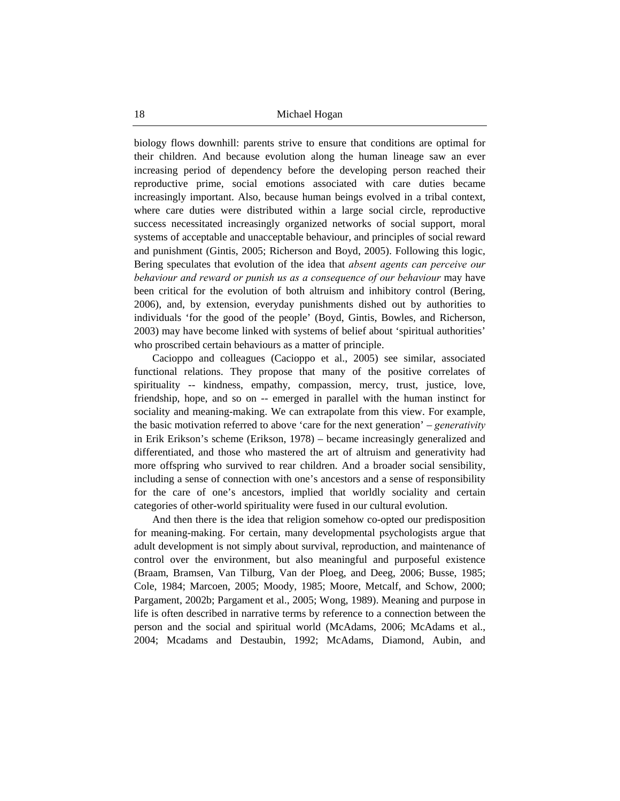biology flows downhill: parents strive to ensure that conditions are optimal for their children. And because evolution along the human lineage saw an ever increasing period of dependency before the developing person reached their reproductive prime, social emotions associated with care duties became increasingly important. Also, because human beings evolved in a tribal context, where care duties were distributed within a large social circle, reproductive success necessitated increasingly organized networks of social support, moral systems of acceptable and unacceptable behaviour, and principles of social reward and punishment (Gintis, 2005; Richerson and Boyd, 2005). Following this logic, Bering speculates that evolution of the idea that *absent agents can perceive our behaviour and reward or punish us as a consequence of our behaviour* may have been critical for the evolution of both altruism and inhibitory control (Bering, 2006), and, by extension, everyday punishments dished out by authorities to individuals 'for the good of the people' (Boyd, Gintis, Bowles, and Richerson, 2003) may have become linked with systems of belief about 'spiritual authorities' who proscribed certain behaviours as a matter of principle.

Cacioppo and colleagues (Cacioppo et al., 2005) see similar, associated functional relations. They propose that many of the positive correlates of spirituality -- kindness, empathy, compassion, mercy, trust, justice, love, friendship, hope, and so on -- emerged in parallel with the human instinct for sociality and meaning-making. We can extrapolate from this view. For example, the basic motivation referred to above 'care for the next generation' – *generativity* in Erik Erikson's scheme (Erikson, 1978) – became increasingly generalized and differentiated, and those who mastered the art of altruism and generativity had more offspring who survived to rear children. And a broader social sensibility, including a sense of connection with one's ancestors and a sense of responsibility for the care of one's ancestors, implied that worldly sociality and certain categories of other-world spirituality were fused in our cultural evolution.

And then there is the idea that religion somehow co-opted our predisposition for meaning-making. For certain, many developmental psychologists argue that adult development is not simply about survival, reproduction, and maintenance of control over the environment, but also meaningful and purposeful existence (Braam, Bramsen, Van Tilburg, Van der Ploeg, and Deeg, 2006; Busse, 1985; Cole, 1984; Marcoen, 2005; Moody, 1985; Moore, Metcalf, and Schow, 2000; Pargament, 2002b; Pargament et al., 2005; Wong, 1989). Meaning and purpose in life is often described in narrative terms by reference to a connection between the person and the social and spiritual world (McAdams, 2006; McAdams et al., 2004; Mcadams and Destaubin, 1992; McAdams, Diamond, Aubin, and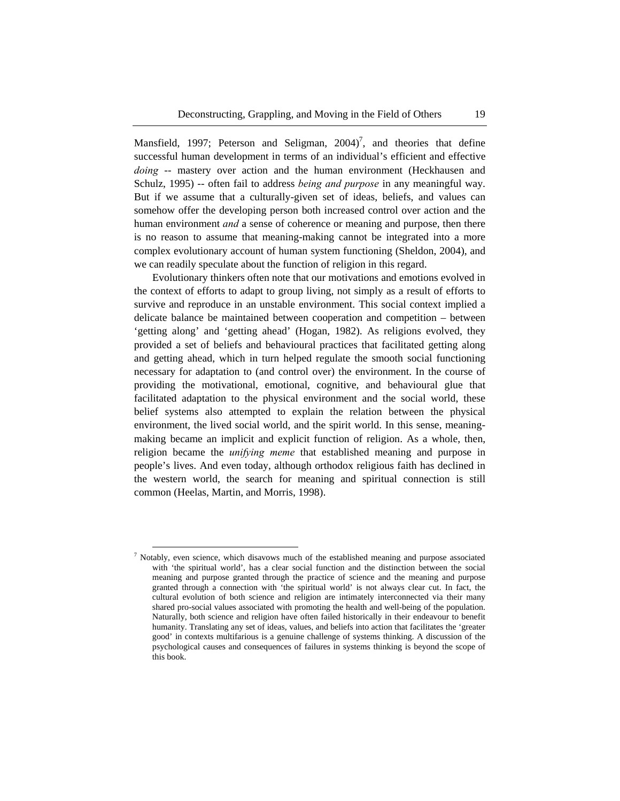Mansfield, 1997; Peterson and Seligman,  $2004$ <sup>7</sup>, and theories that define successful human development in terms of an individual's efficient and effective *doing* -- mastery over action and the human environment (Heckhausen and Schulz, 1995) -- often fail to address *being and purpose* in any meaningful way. But if we assume that a culturally-given set of ideas, beliefs, and values can somehow offer the developing person both increased control over action and the human environment *and* a sense of coherence or meaning and purpose, then there is no reason to assume that meaning-making cannot be integrated into a more complex evolutionary account of human system functioning (Sheldon, 2004), and we can readily speculate about the function of religion in this regard.

Evolutionary thinkers often note that our motivations and emotions evolved in the context of efforts to adapt to group living, not simply as a result of efforts to survive and reproduce in an unstable environment. This social context implied a delicate balance be maintained between cooperation and competition – between 'getting along' and 'getting ahead' (Hogan, 1982). As religions evolved, they provided a set of beliefs and behavioural practices that facilitated getting along and getting ahead, which in turn helped regulate the smooth social functioning necessary for adaptation to (and control over) the environment. In the course of providing the motivational, emotional, cognitive, and behavioural glue that facilitated adaptation to the physical environment and the social world, these belief systems also attempted to explain the relation between the physical environment, the lived social world, and the spirit world. In this sense, meaningmaking became an implicit and explicit function of religion. As a whole, then, religion became the *unifying meme* that established meaning and purpose in people's lives. And even today, although orthodox religious faith has declined in the western world, the search for meaning and spiritual connection is still common (Heelas, Martin, and Morris, 1998).

<sup>&</sup>lt;sup>7</sup> Notably, even science, which disavows much of the established meaning and purpose associated with 'the spiritual world', has a clear social function and the distinction between the social meaning and purpose granted through the practice of science and the meaning and purpose granted through a connection with 'the spiritual world' is not always clear cut. In fact, the cultural evolution of both science and religion are intimately interconnected via their many shared pro-social values associated with promoting the health and well-being of the population. Naturally, both science and religion have often failed historically in their endeavour to benefit humanity. Translating any set of ideas, values, and beliefs into action that facilitates the 'greater good' in contexts multifarious is a genuine challenge of systems thinking. A discussion of the psychological causes and consequences of failures in systems thinking is beyond the scope of this book.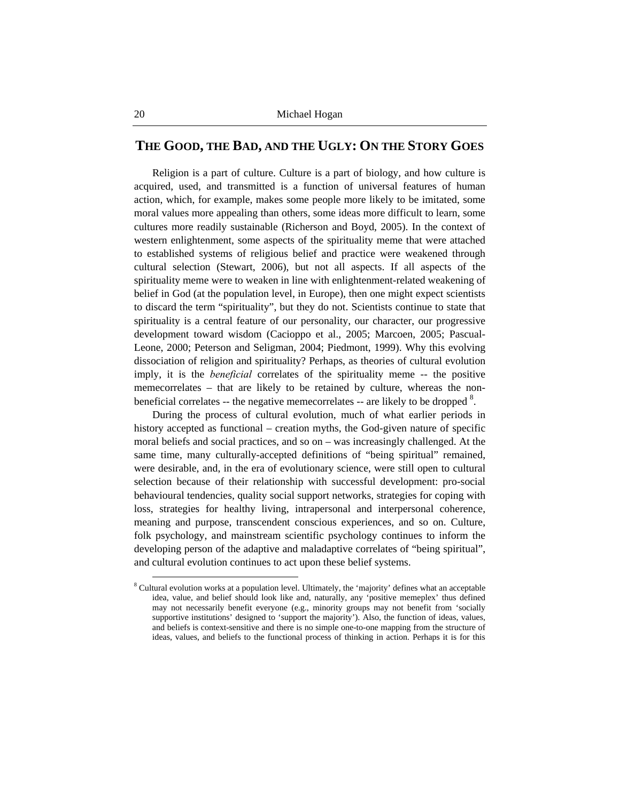### **THE GOOD, THE BAD, AND THE UGLY: ON THE STORY GOES**

Religion is a part of culture. Culture is a part of biology, and how culture is acquired, used, and transmitted is a function of universal features of human action, which, for example, makes some people more likely to be imitated, some moral values more appealing than others, some ideas more difficult to learn, some cultures more readily sustainable (Richerson and Boyd, 2005). In the context of western enlightenment, some aspects of the spirituality meme that were attached to established systems of religious belief and practice were weakened through cultural selection (Stewart, 2006), but not all aspects. If all aspects of the spirituality meme were to weaken in line with enlightenment-related weakening of belief in God (at the population level, in Europe), then one might expect scientists to discard the term "spirituality", but they do not. Scientists continue to state that spirituality is a central feature of our personality, our character, our progressive development toward wisdom (Cacioppo et al., 2005; Marcoen, 2005; Pascual-Leone, 2000; Peterson and Seligman, 2004; Piedmont, 1999). Why this evolving dissociation of religion and spirituality? Perhaps, as theories of cultural evolution imply, it is the *beneficial* correlates of the spirituality meme -- the positive memecorrelates – that are likely to be retained by culture, whereas the nonbeneficial correlates  $-$  the negative memecorrelates  $-$  are likely to be dropped  $8$ .

During the process of cultural evolution, much of what earlier periods in history accepted as functional – creation myths, the God-given nature of specific moral beliefs and social practices, and so on – was increasingly challenged. At the same time, many culturally-accepted definitions of "being spiritual" remained, were desirable, and, in the era of evolutionary science, were still open to cultural selection because of their relationship with successful development: pro-social behavioural tendencies, quality social support networks, strategies for coping with loss, strategies for healthy living, intrapersonal and interpersonal coherence, meaning and purpose, transcendent conscious experiences, and so on. Culture, folk psychology, and mainstream scientific psychology continues to inform the developing person of the adaptive and maladaptive correlates of "being spiritual", and cultural evolution continues to act upon these belief systems.

<sup>&</sup>lt;sup>8</sup> Cultural evolution works at a population level. Ultimately, the 'majority' defines what an acceptable idea, value, and belief should look like and, naturally, any 'positive memeplex' thus defined may not necessarily benefit everyone (e.g., minority groups may not benefit from 'socially supportive institutions' designed to 'support the majority'). Also, the function of ideas, values, and beliefs is context-sensitive and there is no simple one-to-one mapping from the structure of ideas, values, and beliefs to the functional process of thinking in action. Perhaps it is for this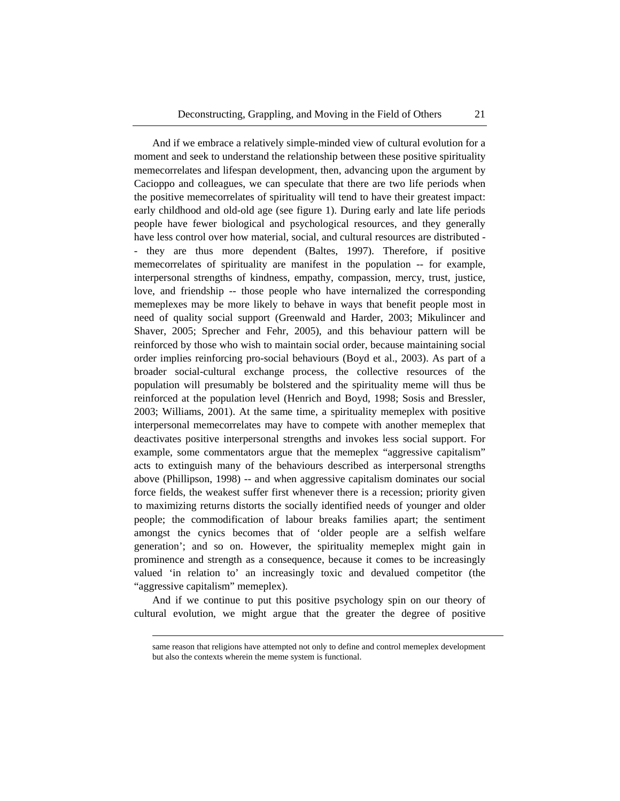And if we embrace a relatively simple-minded view of cultural evolution for a moment and seek to understand the relationship between these positive spirituality memecorrelates and lifespan development, then, advancing upon the argument by Cacioppo and colleagues, we can speculate that there are two life periods when the positive memecorrelates of spirituality will tend to have their greatest impact: early childhood and old-old age (see figure 1). During early and late life periods people have fewer biological and psychological resources, and they generally have less control over how material, social, and cultural resources are distributed - - they are thus more dependent (Baltes, 1997). Therefore, if positive memecorrelates of spirituality are manifest in the population -- for example, interpersonal strengths of kindness, empathy, compassion, mercy, trust, justice, love, and friendship -- those people who have internalized the corresponding memeplexes may be more likely to behave in ways that benefit people most in need of quality social support (Greenwald and Harder, 2003; Mikulincer and Shaver, 2005; Sprecher and Fehr, 2005), and this behaviour pattern will be reinforced by those who wish to maintain social order, because maintaining social order implies reinforcing pro-social behaviours (Boyd et al., 2003). As part of a broader social-cultural exchange process, the collective resources of the population will presumably be bolstered and the spirituality meme will thus be reinforced at the population level (Henrich and Boyd, 1998; Sosis and Bressler, 2003; Williams, 2001). At the same time, a spirituality memeplex with positive interpersonal memecorrelates may have to compete with another memeplex that deactivates positive interpersonal strengths and invokes less social support. For example, some commentators argue that the memeplex "aggressive capitalism" acts to extinguish many of the behaviours described as interpersonal strengths above (Phillipson, 1998) -- and when aggressive capitalism dominates our social force fields, the weakest suffer first whenever there is a recession; priority given to maximizing returns distorts the socially identified needs of younger and older people; the commodification of labour breaks families apart; the sentiment amongst the cynics becomes that of 'older people are a selfish welfare generation'; and so on. However, the spirituality memeplex might gain in prominence and strength as a consequence, because it comes to be increasingly valued 'in relation to' an increasingly toxic and devalued competitor (the "aggressive capitalism" memeplex).

And if we continue to put this positive psychology spin on our theory of cultural evolution, we might argue that the greater the degree of positive

 $\overline{a}$ 

same reason that religions have attempted not only to define and control memeplex development but also the contexts wherein the meme system is functional.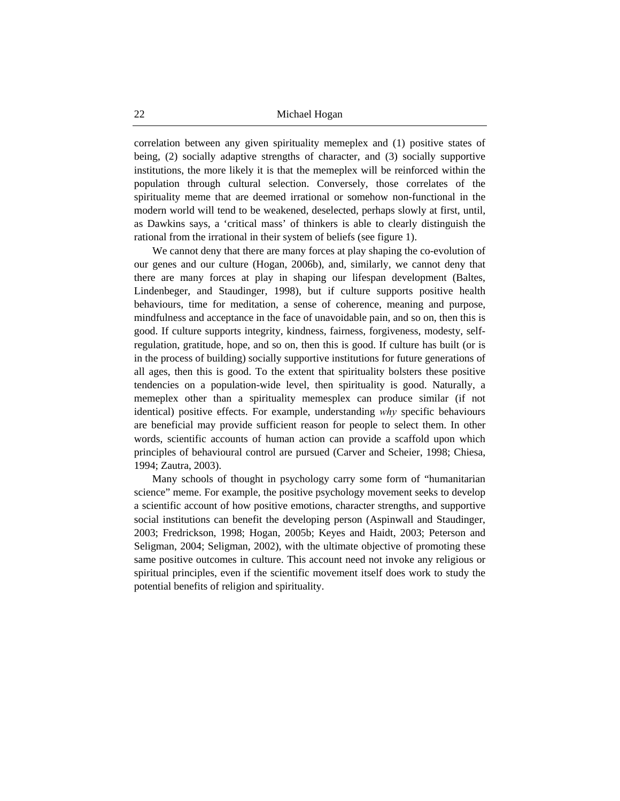correlation between any given spirituality memeplex and (1) positive states of being, (2) socially adaptive strengths of character, and (3) socially supportive institutions, the more likely it is that the memeplex will be reinforced within the population through cultural selection. Conversely, those correlates of the spirituality meme that are deemed irrational or somehow non-functional in the modern world will tend to be weakened, deselected, perhaps slowly at first, until, as Dawkins says, a 'critical mass' of thinkers is able to clearly distinguish the rational from the irrational in their system of beliefs (see figure 1).

We cannot deny that there are many forces at play shaping the co-evolution of our genes and our culture (Hogan, 2006b), and, similarly, we cannot deny that there are many forces at play in shaping our lifespan development (Baltes, Lindenbeger, and Staudinger, 1998), but if culture supports positive health behaviours, time for meditation, a sense of coherence, meaning and purpose, mindfulness and acceptance in the face of unavoidable pain, and so on, then this is good. If culture supports integrity, kindness, fairness, forgiveness, modesty, selfregulation, gratitude, hope, and so on, then this is good. If culture has built (or is in the process of building) socially supportive institutions for future generations of all ages, then this is good. To the extent that spirituality bolsters these positive tendencies on a population-wide level, then spirituality is good. Naturally, a memeplex other than a spirituality memesplex can produce similar (if not identical) positive effects. For example, understanding *why* specific behaviours are beneficial may provide sufficient reason for people to select them. In other words, scientific accounts of human action can provide a scaffold upon which principles of behavioural control are pursued (Carver and Scheier, 1998; Chiesa, 1994; Zautra, 2003).

Many schools of thought in psychology carry some form of "humanitarian science" meme. For example, the positive psychology movement seeks to develop a scientific account of how positive emotions, character strengths, and supportive social institutions can benefit the developing person (Aspinwall and Staudinger, 2003; Fredrickson, 1998; Hogan, 2005b; Keyes and Haidt, 2003; Peterson and Seligman, 2004; Seligman, 2002), with the ultimate objective of promoting these same positive outcomes in culture. This account need not invoke any religious or spiritual principles, even if the scientific movement itself does work to study the potential benefits of religion and spirituality.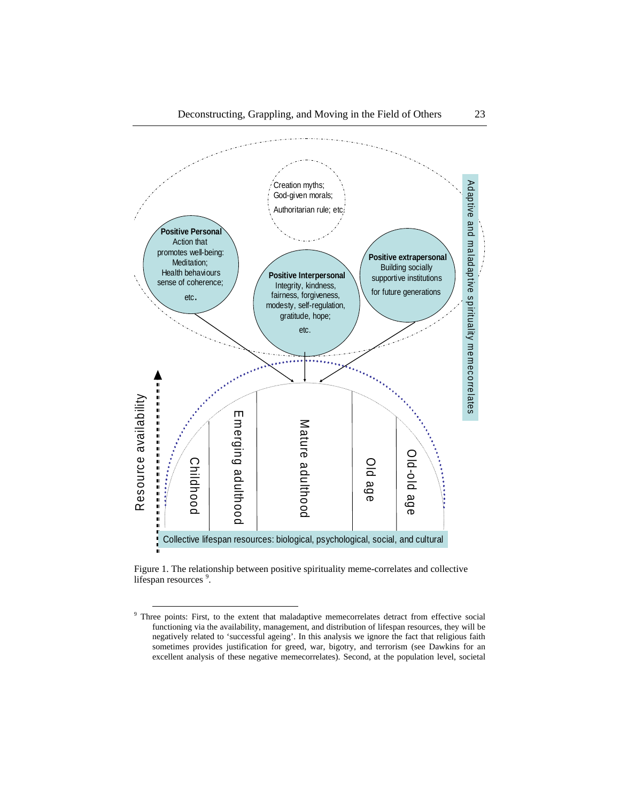

Figure 1. The relationship between positive spirituality meme-correlates and collective lifespan resources<sup>9</sup>.

<sup>&</sup>lt;sup>9</sup> Three points: First, to the extent that maladaptive memecorrelates detract from effective social functioning via the availability, management, and distribution of lifespan resources, they will be negatively related to 'successful ageing'. In this analysis we ignore the fact that religious faith sometimes provides justification for greed, war, bigotry, and terrorism (see Dawkins for an excellent analysis of these negative memecorrelates). Second, at the population level, societal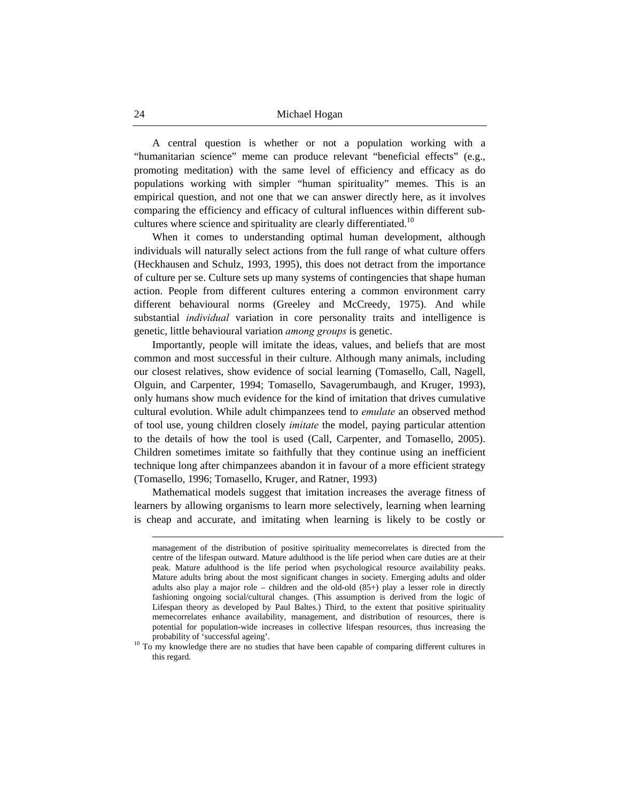A central question is whether or not a population working with a "humanitarian science" meme can produce relevant "beneficial effects" (e.g., promoting meditation) with the same level of efficiency and efficacy as do populations working with simpler "human spirituality" memes. This is an empirical question, and not one that we can answer directly here, as it involves comparing the efficiency and efficacy of cultural influences within different subcultures where science and spirituality are clearly differentiated.<sup>10</sup>

When it comes to understanding optimal human development, although individuals will naturally select actions from the full range of what culture offers (Heckhausen and Schulz, 1993, 1995), this does not detract from the importance of culture per se. Culture sets up many systems of contingencies that shape human action. People from different cultures entering a common environment carry different behavioural norms (Greeley and McCreedy, 1975). And while substantial *individual* variation in core personality traits and intelligence is genetic, little behavioural variation *among groups* is genetic.

Importantly, people will imitate the ideas, values, and beliefs that are most common and most successful in their culture. Although many animals, including our closest relatives, show evidence of social learning (Tomasello, Call, Nagell, Olguin, and Carpenter, 1994; Tomasello, Savagerumbaugh, and Kruger, 1993), only humans show much evidence for the kind of imitation that drives cumulative cultural evolution. While adult chimpanzees tend to *emulate* an observed method of tool use, young children closely *imitate* the model, paying particular attention to the details of how the tool is used (Call, Carpenter, and Tomasello, 2005). Children sometimes imitate so faithfully that they continue using an inefficient technique long after chimpanzees abandon it in favour of a more efficient strategy (Tomasello, 1996; Tomasello, Kruger, and Ratner, 1993)

Mathematical models suggest that imitation increases the average fitness of learners by allowing organisms to learn more selectively, learning when learning is cheap and accurate, and imitating when learning is likely to be costly or

 $\overline{a}$ 

management of the distribution of positive spirituality memecorrelates is directed from the centre of the lifespan outward. Mature adulthood is the life period when care duties are at their peak. Mature adulthood is the life period when psychological resource availability peaks. Mature adults bring about the most significant changes in society. Emerging adults and older adults also play a major role – children and the old-old  $(85+)$  play a lesser role in directly fashioning ongoing social/cultural changes. (This assumption is derived from the logic of Lifespan theory as developed by Paul Baltes.) Third, to the extent that positive spirituality memecorrelates enhance availability, management, and distribution of resources, there is potential for population-wide increases in collective lifespan resources, thus increasing the

probability of 'successful ageing'.<br><sup>10</sup> To my knowledge there are no studies that have been capable of comparing different cultures in this regard.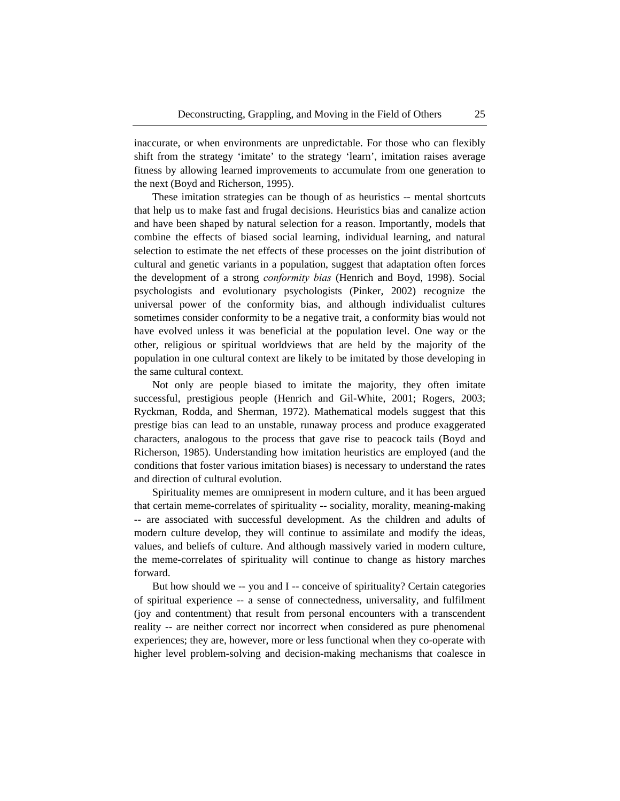inaccurate, or when environments are unpredictable. For those who can flexibly shift from the strategy 'imitate' to the strategy 'learn', imitation raises average fitness by allowing learned improvements to accumulate from one generation to the next (Boyd and Richerson, 1995).

These imitation strategies can be though of as heuristics -- mental shortcuts that help us to make fast and frugal decisions. Heuristics bias and canalize action and have been shaped by natural selection for a reason. Importantly, models that combine the effects of biased social learning, individual learning, and natural selection to estimate the net effects of these processes on the joint distribution of cultural and genetic variants in a population, suggest that adaptation often forces the development of a strong *conformity bias* (Henrich and Boyd, 1998). Social psychologists and evolutionary psychologists (Pinker, 2002) recognize the universal power of the conformity bias, and although individualist cultures sometimes consider conformity to be a negative trait, a conformity bias would not have evolved unless it was beneficial at the population level. One way or the other, religious or spiritual worldviews that are held by the majority of the population in one cultural context are likely to be imitated by those developing in the same cultural context.

Not only are people biased to imitate the majority, they often imitate successful, prestigious people (Henrich and Gil-White, 2001; Rogers, 2003; Ryckman, Rodda, and Sherman, 1972). Mathematical models suggest that this prestige bias can lead to an unstable, runaway process and produce exaggerated characters, analogous to the process that gave rise to peacock tails (Boyd and Richerson, 1985). Understanding how imitation heuristics are employed (and the conditions that foster various imitation biases) is necessary to understand the rates and direction of cultural evolution.

Spirituality memes are omnipresent in modern culture, and it has been argued that certain meme-correlates of spirituality -- sociality, morality, meaning-making -- are associated with successful development. As the children and adults of modern culture develop, they will continue to assimilate and modify the ideas, values, and beliefs of culture. And although massively varied in modern culture, the meme-correlates of spirituality will continue to change as history marches forward.

But how should we -- you and I -- conceive of spirituality? Certain categories of spiritual experience -- a sense of connectedness, universality, and fulfilment (joy and contentment) that result from personal encounters with a transcendent reality -- are neither correct nor incorrect when considered as pure phenomenal experiences; they are, however, more or less functional when they co-operate with higher level problem-solving and decision-making mechanisms that coalesce in